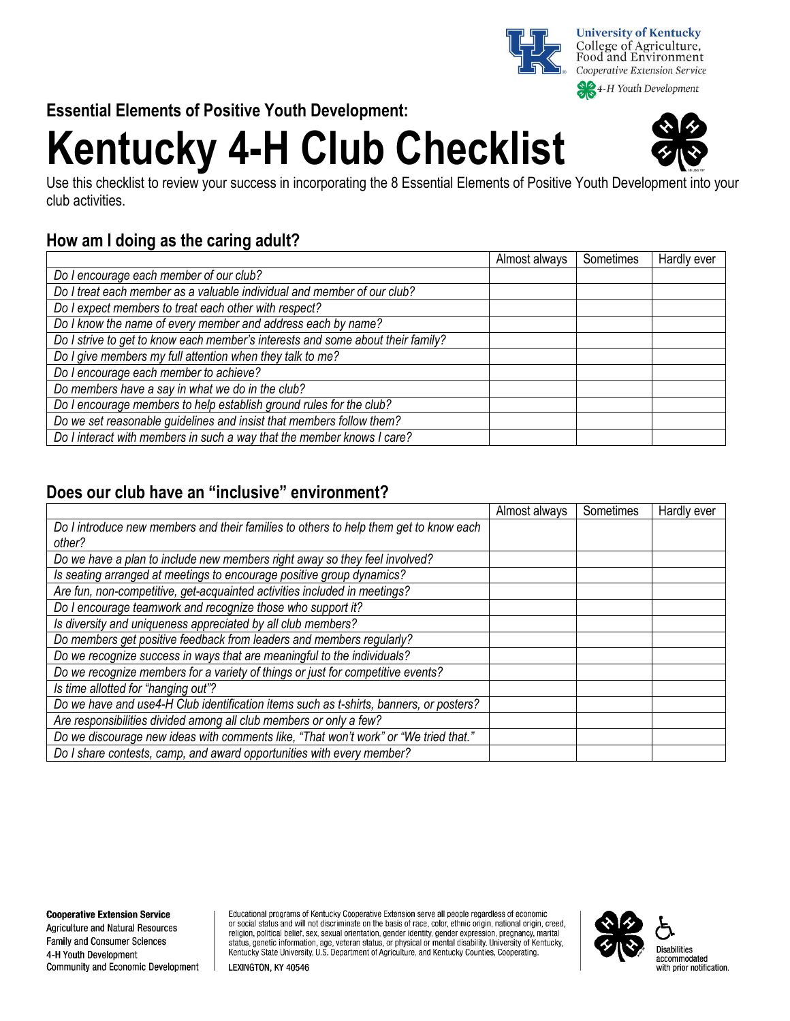

4-H Youth Development

**Essential Elements of Positive Youth Development:** 

# **Kentucky 4-H Club Checklist**

Use this checklist to review your success in incorporating the 8 Essential Elements of Positive Youth Development into your club activities.

## **How am I doing as the caring adult?**

|                                                                                 | Almost always | Sometimes | Hardly ever |
|---------------------------------------------------------------------------------|---------------|-----------|-------------|
| Do I encourage each member of our club?                                         |               |           |             |
| Do I treat each member as a valuable individual and member of our club?         |               |           |             |
| Do I expect members to treat each other with respect?                           |               |           |             |
| Do I know the name of every member and address each by name?                    |               |           |             |
| Do I strive to get to know each member's interests and some about their family? |               |           |             |
| Do I give members my full attention when they talk to me?                       |               |           |             |
| Do I encourage each member to achieve?                                          |               |           |             |
| Do members have a say in what we do in the club?                                |               |           |             |
| Do I encourage members to help establish ground rules for the club?             |               |           |             |
| Do we set reasonable guidelines and insist that members follow them?            |               |           |             |
| Do I interact with members in such a way that the member knows I care?          |               |           |             |

### **Does our club have an "inclusive" environment?**

|                                                                                        | Almost always | Sometimes | Hardly ever |
|----------------------------------------------------------------------------------------|---------------|-----------|-------------|
| Do I introduce new members and their families to others to help them get to know each  |               |           |             |
| other?                                                                                 |               |           |             |
| Do we have a plan to include new members right away so they feel involved?             |               |           |             |
| Is seating arranged at meetings to encourage positive group dynamics?                  |               |           |             |
| Are fun, non-competitive, get-acquainted activities included in meetings?              |               |           |             |
| Do I encourage teamwork and recognize those who support it?                            |               |           |             |
| Is diversity and uniqueness appreciated by all club members?                           |               |           |             |
| Do members get positive feedback from leaders and members regularly?                   |               |           |             |
| Do we recognize success in ways that are meaningful to the individuals?                |               |           |             |
| Do we recognize members for a variety of things or just for competitive events?        |               |           |             |
| Is time allotted for "hanging out"?                                                    |               |           |             |
| Do we have and use4-H Club identification items such as t-shirts, banners, or posters? |               |           |             |
| Are responsibilities divided among all club members or only a few?                     |               |           |             |
| Do we discourage new ideas with comments like, "That won't work" or "We tried that."   |               |           |             |
| Do I share contests, camp, and award opportunities with every member?                  |               |           |             |

**Agriculture and Natural Resources** Family and Consumer Sciences 4-H Youth Development Community and Economic Development Educational programs of Kentucky Cooperative Extension serve all people regardless of economic or social status and will not discriminate on the basis of race, color, ethnic origin, national origin, creed, religion, political belief, sex, sexual orientation, gender identity, gender expression, pregnancy, marital status, genetic information, age, veteran status, or physical or mental disability. University of Kentucky, Kentucky State University, U.S. Department of Agriculture, and Kentucky Counties, Cooperating.



LEXINGTON, KY 40546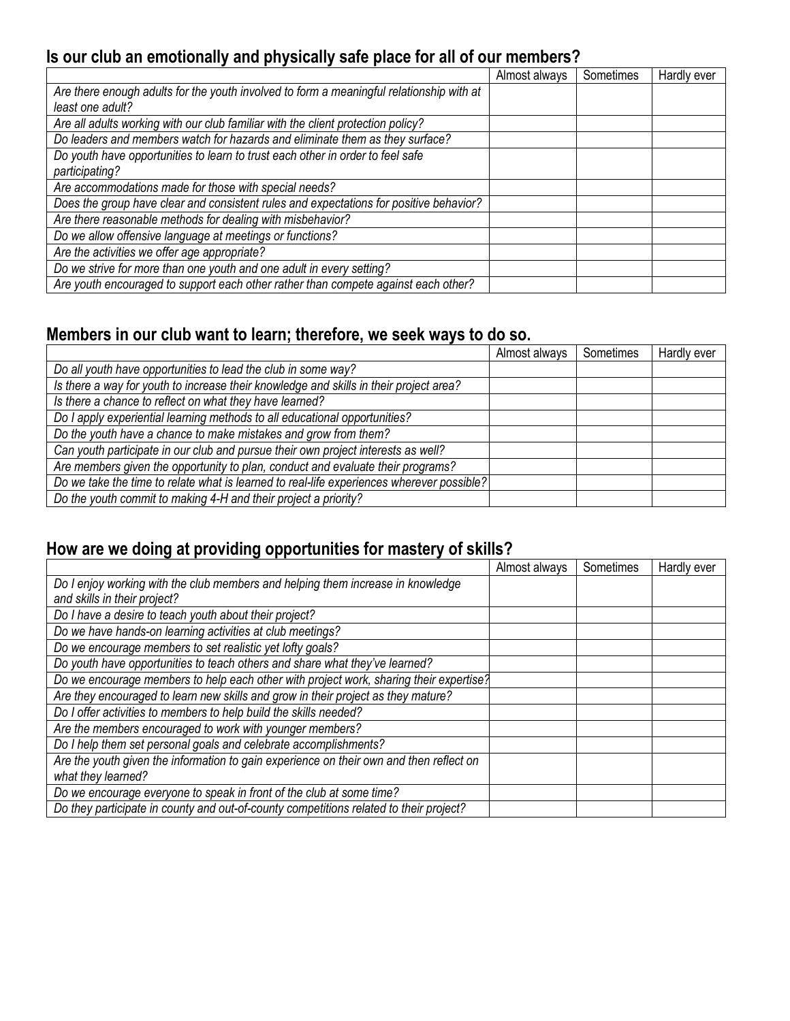## **Is our club an emotionally and physically safe place for all of our members?**

|                                                                                          | Almost always | Sometimes | Hardly ever |
|------------------------------------------------------------------------------------------|---------------|-----------|-------------|
| Are there enough adults for the youth involved to form a meaningful relationship with at |               |           |             |
| least one adult?                                                                         |               |           |             |
| Are all adults working with our club familiar with the client protection policy?         |               |           |             |
| Do leaders and members watch for hazards and eliminate them as they surface?             |               |           |             |
| Do youth have opportunities to learn to trust each other in order to feel safe           |               |           |             |
| participating?                                                                           |               |           |             |
| Are accommodations made for those with special needs?                                    |               |           |             |
| Does the group have clear and consistent rules and expectations for positive behavior?   |               |           |             |
| Are there reasonable methods for dealing with misbehavior?                               |               |           |             |
| Do we allow offensive language at meetings or functions?                                 |               |           |             |
| Are the activities we offer age appropriate?                                             |               |           |             |
| Do we strive for more than one youth and one adult in every setting?                     |               |           |             |
| Are youth encouraged to support each other rather than compete against each other?       |               |           |             |

## **Members in our club want to learn; therefore, we seek ways to do so.**

|                                                                                           | Almost always | Sometimes | Hardly ever |
|-------------------------------------------------------------------------------------------|---------------|-----------|-------------|
| Do all youth have opportunities to lead the club in some way?                             |               |           |             |
| Is there a way for youth to increase their knowledge and skills in their project area?    |               |           |             |
| Is there a chance to reflect on what they have learned?                                   |               |           |             |
| Do I apply experiential learning methods to all educational opportunities?                |               |           |             |
| Do the youth have a chance to make mistakes and grow from them?                           |               |           |             |
| Can youth participate in our club and pursue their own project interests as well?         |               |           |             |
| Are members given the opportunity to plan, conduct and evaluate their programs?           |               |           |             |
| Do we take the time to relate what is learned to real-life experiences wherever possible? |               |           |             |
| Do the youth commit to making 4-H and their project a priority?                           |               |           |             |

## **How are we doing at providing opportunities for mastery of skills?**

|                                                                                         | Almost always | Sometimes | Hardly ever |
|-----------------------------------------------------------------------------------------|---------------|-----------|-------------|
| Do I enjoy working with the club members and helping them increase in knowledge         |               |           |             |
| and skills in their project?                                                            |               |           |             |
| Do I have a desire to teach youth about their project?                                  |               |           |             |
| Do we have hands-on learning activities at club meetings?                               |               |           |             |
| Do we encourage members to set realistic yet lofty goals?                               |               |           |             |
| Do youth have opportunities to teach others and share what they've learned?             |               |           |             |
| Do we encourage members to help each other with project work, sharing their expertise?  |               |           |             |
| Are they encouraged to learn new skills and grow in their project as they mature?       |               |           |             |
| Do I offer activities to members to help build the skills needed?                       |               |           |             |
| Are the members encouraged to work with younger members?                                |               |           |             |
| Do I help them set personal goals and celebrate accomplishments?                        |               |           |             |
| Are the youth given the information to gain experience on their own and then reflect on |               |           |             |
| what they learned?                                                                      |               |           |             |
| Do we encourage everyone to speak in front of the club at some time?                    |               |           |             |
| Do they participate in county and out-of-county competitions related to their project?  |               |           |             |